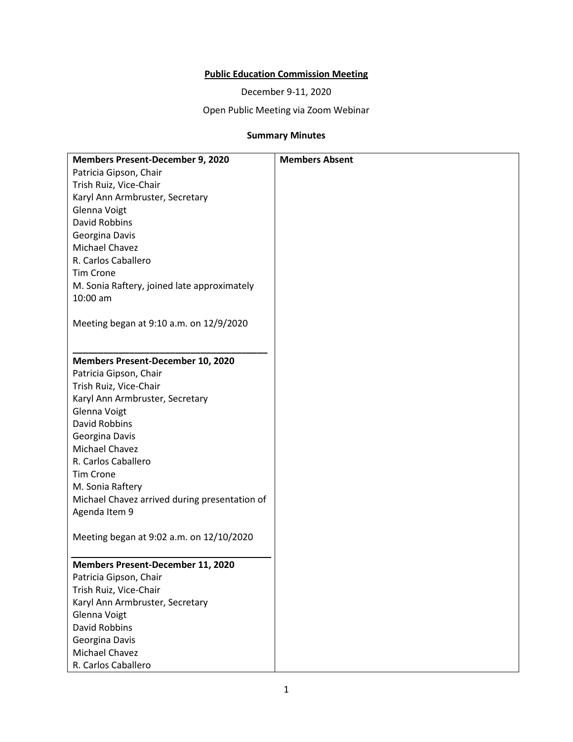# **Public Education Commission Meeting**

December 9-11, 2020

Open Public Meeting via Zoom Webinar

# **Summary Minutes**

| <b>Members Present-December 9, 2020</b>          | <b>Members Absent</b> |
|--------------------------------------------------|-----------------------|
| Patricia Gipson, Chair                           |                       |
| Trish Ruiz, Vice-Chair                           |                       |
| Karyl Ann Armbruster, Secretary                  |                       |
| Glenna Voigt                                     |                       |
| David Robbins                                    |                       |
| Georgina Davis                                   |                       |
| Michael Chavez                                   |                       |
| R. Carlos Caballero                              |                       |
| <b>Tim Crone</b>                                 |                       |
| M. Sonia Raftery, joined late approximately      |                       |
| 10:00 am                                         |                       |
|                                                  |                       |
| Meeting began at 9:10 a.m. on 12/9/2020          |                       |
|                                                  |                       |
|                                                  |                       |
| <b>Members Present-December 10, 2020</b>         |                       |
| Patricia Gipson, Chair<br>Trish Ruiz, Vice-Chair |                       |
| Karyl Ann Armbruster, Secretary                  |                       |
| Glenna Voigt                                     |                       |
| <b>David Robbins</b>                             |                       |
| Georgina Davis                                   |                       |
| Michael Chavez                                   |                       |
| R. Carlos Caballero                              |                       |
| <b>Tim Crone</b>                                 |                       |
| M. Sonia Raftery                                 |                       |
| Michael Chavez arrived during presentation of    |                       |
| Agenda Item 9                                    |                       |
|                                                  |                       |
| Meeting began at 9:02 a.m. on 12/10/2020         |                       |
|                                                  |                       |
| <b>Members Present-December 11, 2020</b>         |                       |
| Patricia Gipson, Chair                           |                       |
| Trish Ruiz, Vice-Chair                           |                       |
| Karyl Ann Armbruster, Secretary                  |                       |
| <b>Glenna Voigt</b>                              |                       |
| David Robbins                                    |                       |
| Georgina Davis                                   |                       |
| Michael Chavez                                   |                       |
| R. Carlos Caballero                              |                       |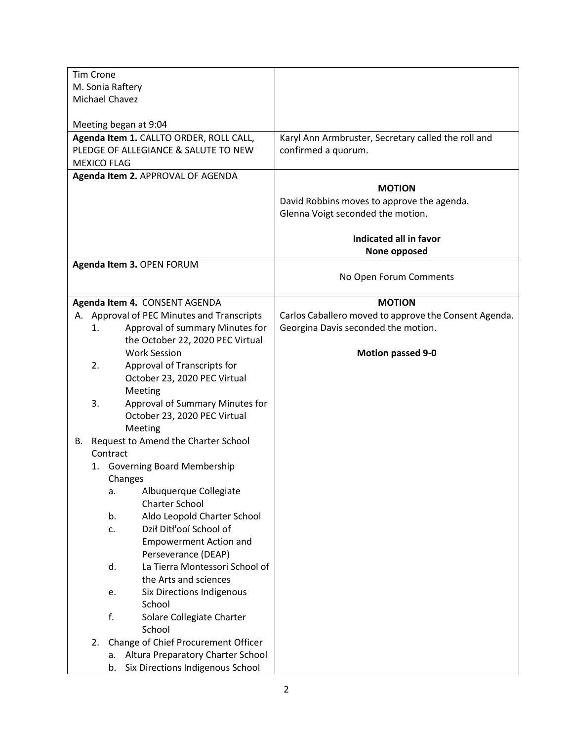| <b>Tim Crone</b> |                                                       |                                                       |
|------------------|-------------------------------------------------------|-------------------------------------------------------|
|                  | M. Sonia Raftery                                      |                                                       |
|                  | Michael Chavez                                        |                                                       |
|                  |                                                       |                                                       |
|                  | Meeting began at 9:04                                 |                                                       |
|                  | Agenda Item 1. CALLTO ORDER, ROLL CALL,               | Karyl Ann Armbruster, Secretary called the roll and   |
|                  | PLEDGE OF ALLEGIANCE & SALUTE TO NEW                  | confirmed a quorum.                                   |
|                  | <b>MEXICO FLAG</b>                                    |                                                       |
|                  | Agenda Item 2. APPROVAL OF AGENDA                     |                                                       |
|                  |                                                       | <b>MOTION</b>                                         |
|                  |                                                       | David Robbins moves to approve the agenda.            |
|                  |                                                       | Glenna Voigt seconded the motion.                     |
|                  |                                                       | Indicated all in favor                                |
|                  |                                                       | None opposed                                          |
|                  | Agenda Item 3. OPEN FORUM                             |                                                       |
|                  |                                                       | No Open Forum Comments                                |
|                  |                                                       |                                                       |
|                  | Agenda Item 4. CONSENT AGENDA                         | <b>MOTION</b>                                         |
|                  | A. Approval of PEC Minutes and Transcripts            | Carlos Caballero moved to approve the Consent Agenda. |
| 1.               | Approval of summary Minutes for                       | Georgina Davis seconded the motion.                   |
|                  | the October 22, 2020 PEC Virtual                      |                                                       |
|                  | <b>Work Session</b>                                   | <b>Motion passed 9-0</b>                              |
| 2.               | Approval of Transcripts for                           |                                                       |
|                  | October 23, 2020 PEC Virtual                          |                                                       |
|                  | Meeting                                               |                                                       |
| 3.               | Approval of Summary Minutes for                       |                                                       |
|                  | October 23, 2020 PEC Virtual                          |                                                       |
|                  | Meeting                                               |                                                       |
|                  | B. Request to Amend the Charter School                |                                                       |
|                  | Contract                                              |                                                       |
| 1.               | Governing Board Membership                            |                                                       |
|                  | Changes                                               |                                                       |
|                  | Albuquerque Collegiate<br>a.<br><b>Charter School</b> |                                                       |
|                  | Aldo Leopold Charter School<br>b.                     |                                                       |
|                  | Dził Ditł'ooí School of<br>c.                         |                                                       |
|                  | <b>Empowerment Action and</b>                         |                                                       |
|                  | Perseverance (DEAP)                                   |                                                       |
|                  | d.<br>La Tierra Montessori School of                  |                                                       |
|                  | the Arts and sciences                                 |                                                       |
|                  | Six Directions Indigenous<br>e.                       |                                                       |
|                  | School                                                |                                                       |
|                  | f.<br>Solare Collegiate Charter                       |                                                       |
|                  | School                                                |                                                       |
| 2.               | Change of Chief Procurement Officer                   |                                                       |
|                  | Altura Preparatory Charter School<br>а.               |                                                       |
|                  | Six Directions Indigenous School<br>b.                |                                                       |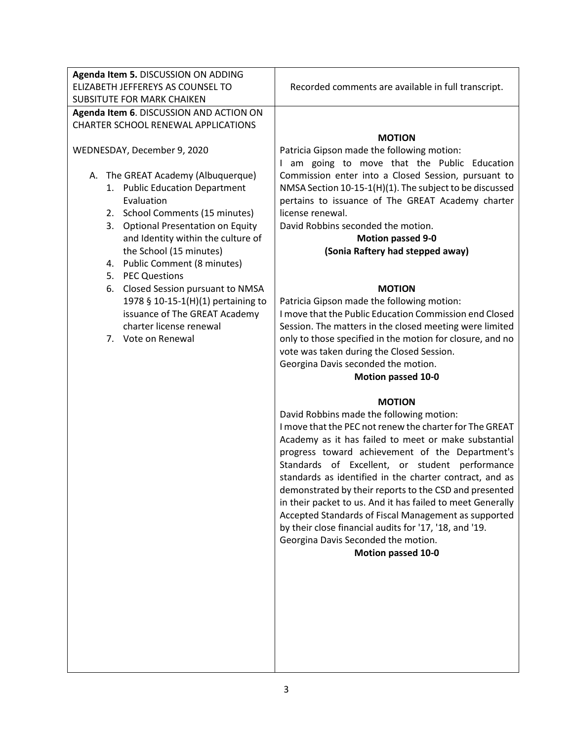|                                   | Agenda Item 5. DISCUSSION ON ADDING     |                                                            |
|-----------------------------------|-----------------------------------------|------------------------------------------------------------|
| ELIZABETH JEFFEREYS AS COUNSEL TO |                                         | Recorded comments are available in full transcript.        |
|                                   | SUBSITUTE FOR MARK CHAIKEN              |                                                            |
|                                   | Agenda Item 6. DISCUSSION AND ACTION ON |                                                            |
|                                   | CHARTER SCHOOL RENEWAL APPLICATIONS     |                                                            |
|                                   |                                         | <b>MOTION</b>                                              |
|                                   | WEDNESDAY, December 9, 2020             | Patricia Gipson made the following motion:                 |
|                                   |                                         | I am going to move that the Public Education               |
| А.                                | The GREAT Academy (Albuquerque)         | Commission enter into a Closed Session, pursuant to        |
|                                   | 1. Public Education Department          | NMSA Section 10-15-1(H)(1). The subject to be discussed    |
|                                   | Evaluation                              | pertains to issuance of The GREAT Academy charter          |
|                                   | 2. School Comments (15 minutes)         | license renewal.                                           |
|                                   | 3. Optional Presentation on Equity      | David Robbins seconded the motion.                         |
|                                   | and Identity within the culture of      | <b>Motion passed 9-0</b>                                   |
|                                   |                                         |                                                            |
|                                   | the School (15 minutes)                 | (Sonia Raftery had stepped away)                           |
|                                   | 4. Public Comment (8 minutes)           |                                                            |
|                                   | 5. PEC Questions                        |                                                            |
|                                   | 6. Closed Session pursuant to NMSA      | <b>MOTION</b>                                              |
|                                   | 1978 § 10-15-1(H)(1) pertaining to      | Patricia Gipson made the following motion:                 |
|                                   | issuance of The GREAT Academy           | I move that the Public Education Commission end Closed     |
|                                   | charter license renewal                 | Session. The matters in the closed meeting were limited    |
|                                   | 7. Vote on Renewal                      | only to those specified in the motion for closure, and no  |
|                                   |                                         |                                                            |
|                                   |                                         | vote was taken during the Closed Session.                  |
|                                   |                                         | Georgina Davis seconded the motion.                        |
|                                   |                                         |                                                            |
|                                   |                                         | <b>Motion passed 10-0</b>                                  |
|                                   |                                         | <b>MOTION</b>                                              |
|                                   |                                         |                                                            |
|                                   |                                         | David Robbins made the following motion:                   |
|                                   |                                         | I move that the PEC not renew the charter for The GREAT    |
|                                   |                                         | Academy as it has failed to meet or make substantial       |
|                                   |                                         | progress toward achievement of the Department's            |
|                                   |                                         | Standards of Excellent, or student performance             |
|                                   |                                         | standards as identified in the charter contract, and as    |
|                                   |                                         | demonstrated by their reports to the CSD and presented     |
|                                   |                                         | in their packet to us. And it has failed to meet Generally |
|                                   |                                         | Accepted Standards of Fiscal Management as supported       |
|                                   |                                         | by their close financial audits for '17, '18, and '19.     |
|                                   |                                         | Georgina Davis Seconded the motion.                        |
|                                   |                                         | <b>Motion passed 10-0</b>                                  |
|                                   |                                         |                                                            |
|                                   |                                         |                                                            |
|                                   |                                         |                                                            |
|                                   |                                         |                                                            |
|                                   |                                         |                                                            |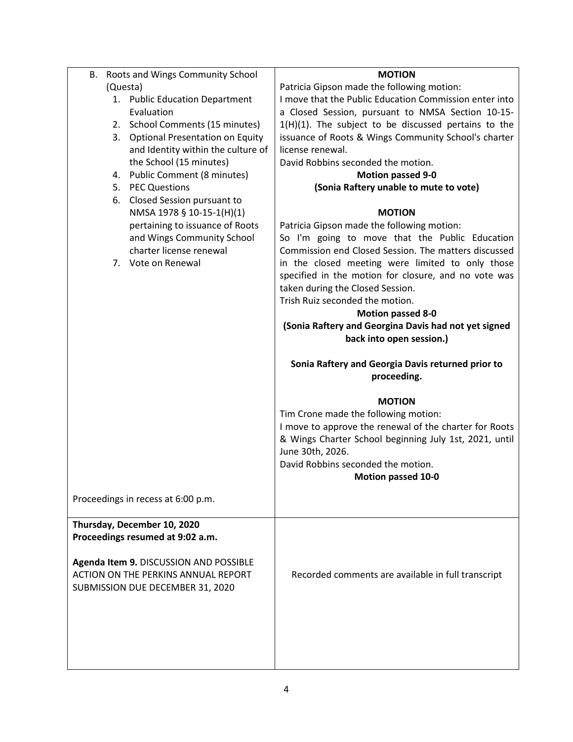| В.                          | Roots and Wings Community School           | <b>MOTION</b>                                          |
|-----------------------------|--------------------------------------------|--------------------------------------------------------|
| (Questa)                    |                                            | Patricia Gipson made the following motion:             |
|                             | 1. Public Education Department             | I move that the Public Education Commission enter into |
|                             | Evaluation                                 | a Closed Session, pursuant to NMSA Section 10-15-      |
|                             | 2. School Comments (15 minutes)            | 1(H)(1). The subject to be discussed pertains to the   |
| 3.                          | <b>Optional Presentation on Equity</b>     | issuance of Roots & Wings Community School's charter   |
|                             | and Identity within the culture of         | license renewal.                                       |
|                             | the School (15 minutes)                    | David Robbins seconded the motion.                     |
|                             | 4. Public Comment (8 minutes)              | <b>Motion passed 9-0</b>                               |
|                             | 5. PEC Questions                           | (Sonia Raftery unable to mute to vote)                 |
| 6.                          | Closed Session pursuant to                 |                                                        |
|                             | NMSA 1978 § 10-15-1(H)(1)                  | <b>MOTION</b>                                          |
|                             | pertaining to issuance of Roots            | Patricia Gipson made the following motion:             |
|                             | and Wings Community School                 | So I'm going to move that the Public Education         |
|                             | charter license renewal                    | Commission end Closed Session. The matters discussed   |
|                             | 7. Vote on Renewal                         | in the closed meeting were limited to only those       |
|                             |                                            | specified in the motion for closure, and no vote was   |
|                             |                                            | taken during the Closed Session.                       |
|                             |                                            | Trish Ruiz seconded the motion.                        |
|                             |                                            | <b>Motion passed 8-0</b>                               |
|                             |                                            |                                                        |
|                             |                                            | (Sonia Raftery and Georgina Davis had not yet signed   |
|                             |                                            | back into open session.)                               |
|                             |                                            |                                                        |
|                             |                                            | Sonia Raftery and Georgia Davis returned prior to      |
|                             |                                            |                                                        |
|                             |                                            | proceeding.                                            |
|                             |                                            |                                                        |
|                             |                                            | <b>MOTION</b>                                          |
|                             |                                            | Tim Crone made the following motion:                   |
|                             |                                            | I move to approve the renewal of the charter for Roots |
|                             |                                            | & Wings Charter School beginning July 1st, 2021, until |
|                             |                                            | June 30th, 2026.                                       |
|                             |                                            | David Robbins seconded the motion.                     |
|                             |                                            | <b>Motion passed 10-0</b>                              |
|                             | Proceedings in recess at 6:00 p.m.         |                                                        |
|                             |                                            |                                                        |
| Thursday, December 10, 2020 |                                            |                                                        |
|                             | Proceedings resumed at 9:02 a.m.           |                                                        |
|                             |                                            |                                                        |
|                             | Agenda Item 9. DISCUSSION AND POSSIBLE     |                                                        |
|                             | <b>ACTION ON THE PERKINS ANNUAL REPORT</b> | Recorded comments are available in full transcript     |
|                             | SUBMISSION DUE DECEMBER 31, 2020           |                                                        |
|                             |                                            |                                                        |
|                             |                                            |                                                        |
|                             |                                            |                                                        |
|                             |                                            |                                                        |
|                             |                                            |                                                        |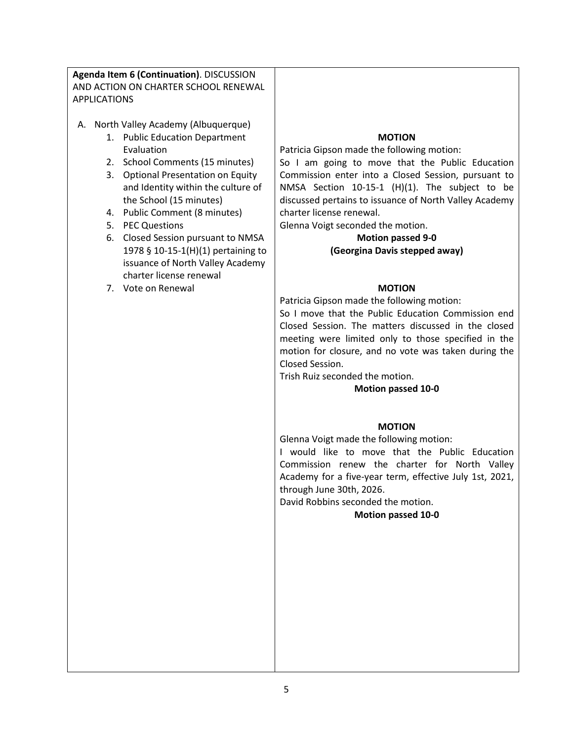**Agenda Item 6 (Continuation)**. DISCUSSION AND ACTION ON CHARTER SCHOOL RENEWAL APPLICATIONS

- A. North Valley Academy (Albuquerque)
	- 1. Public Education Department Evaluation
	- 2. School Comments (15 minutes)
	- 3. Optional Presentation on Equity and Identity within the culture of the School (15 minutes)
	- 4. Public Comment (8 minutes)
	- 5. PEC Questions
	- 6. Closed Session pursuant to NMSA 1978 § 10-15-1(H)(1) pertaining to issuance of North Valley Academy charter license renewal
	- 7. Vote on Renewal

## **MOTION**

Patricia Gipson made the following motion:

So I am going to move that the Public Education Commission enter into a Closed Session, pursuant to NMSA Section 10-15-1 (H)(1). The subject to be discussed pertains to issuance of North Valley Academy charter license renewal.

Glenna Voigt seconded the motion.

# **Motion passed 9-0 (Georgina Davis stepped away)**

#### **MOTION**

Patricia Gipson made the following motion:

So I move that the Public Education Commission end Closed Session. The matters discussed in the closed meeting were limited only to those specified in the motion for closure, and no vote was taken during the Closed Session.

Trish Ruiz seconded the motion.

#### **Motion passed 10-0**

#### **MOTION**

Glenna Voigt made the following motion:

I would like to move that the Public Education Commission renew the charter for North Valley Academy for a five-year term, effective July 1st, 2021, through June 30th, 2026.

David Robbins seconded the motion.

#### **Motion passed 10-0**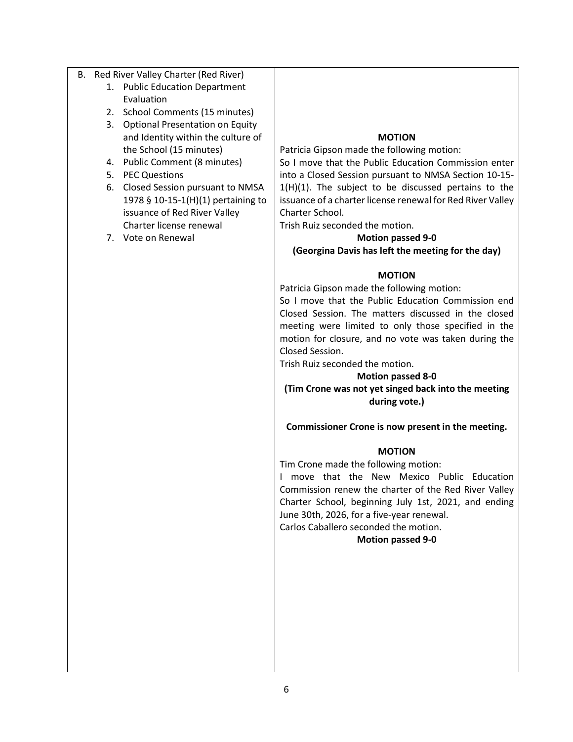- B. Red River Valley Charter (Red River)
	- 1. Public Education Department Evaluation
	- 2. School Comments (15 minutes)
	- 3. Optional Presentation on Equity and Identity within the culture of the School (15 minutes)
	- 4. Public Comment (8 minutes)
	- 5. PEC Questions
	- 6. Closed Session pursuant to NMSA 1978 § 10-15-1(H)(1) pertaining to issuance of Red River Valley Charter license renewal
	- 7. Vote on Renewal

### **MOTION**

Patricia Gipson made the following motion:

So I move that the Public Education Commission enter into a Closed Session pursuant to NMSA Section 10-15-  $1(H)(1)$ . The subject to be discussed pertains to the issuance of a charter license renewal for Red River Valley Charter School.

Trish Ruiz seconded the motion.

# **Motion passed 9-0 (Georgina Davis has left the meeting for the day)**

### **MOTION**

Patricia Gipson made the following motion:

So I move that the Public Education Commission end Closed Session. The matters discussed in the closed meeting were limited to only those specified in the motion for closure, and no vote was taken during the Closed Session.

Trish Ruiz seconded the motion.

# **Motion passed 8-0**

**(Tim Crone was not yet singed back into the meeting during vote.)**

**Commissioner Crone is now present in the meeting.**

#### **MOTION**

Tim Crone made the following motion:

I move that the New Mexico Public Education Commission renew the charter of the Red River Valley Charter School, beginning July 1st, 2021, and ending June 30th, 2026, for a five-year renewal.

Carlos Caballero seconded the motion.

#### **Motion passed 9-0**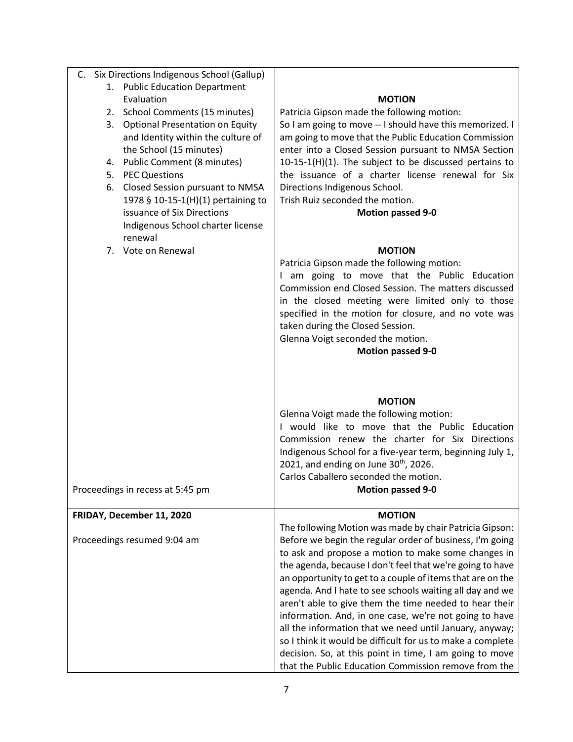| Six Directions Indigenous School (Gallup)<br>C. |                                                            |
|-------------------------------------------------|------------------------------------------------------------|
| 1. Public Education Department                  |                                                            |
| Evaluation                                      | <b>MOTION</b>                                              |
| School Comments (15 minutes)<br>2.              | Patricia Gipson made the following motion:                 |
| 3. Optional Presentation on Equity              | So I am going to move -- I should have this memorized. I   |
| and Identity within the culture of              | am going to move that the Public Education Commission      |
| the School (15 minutes)                         | enter into a Closed Session pursuant to NMSA Section       |
| <b>Public Comment (8 minutes)</b><br>4.         | 10-15-1(H)(1). The subject to be discussed pertains to     |
| <b>PEC Questions</b><br>5.                      | the issuance of a charter license renewal for Six          |
| <b>Closed Session pursuant to NMSA</b><br>6.    | Directions Indigenous School.                              |
| 1978 § 10-15-1(H)(1) pertaining to              | Trish Ruiz seconded the motion.                            |
| issuance of Six Directions                      | <b>Motion passed 9-0</b>                                   |
| Indigenous School charter license               |                                                            |
| renewal                                         |                                                            |
| 7. Vote on Renewal                              |                                                            |
|                                                 | <b>MOTION</b>                                              |
|                                                 | Patricia Gipson made the following motion:                 |
|                                                 | I am going to move that the Public Education               |
|                                                 | Commission end Closed Session. The matters discussed       |
|                                                 | in the closed meeting were limited only to those           |
|                                                 | specified in the motion for closure, and no vote was       |
|                                                 | taken during the Closed Session.                           |
|                                                 | Glenna Voigt seconded the motion.                          |
|                                                 | <b>Motion passed 9-0</b>                                   |
|                                                 |                                                            |
|                                                 |                                                            |
|                                                 | <b>MOTION</b>                                              |
|                                                 | Glenna Voigt made the following motion:                    |
|                                                 | I would like to move that the Public Education             |
|                                                 | Commission renew the charter for Six Directions            |
|                                                 | Indigenous School for a five-year term, beginning July 1,  |
|                                                 | 2021, and ending on June $30th$ , 2026.                    |
|                                                 | Carlos Caballero seconded the motion.                      |
| Proceedings in recess at 5:45 pm                | <b>Motion passed 9-0</b>                                   |
|                                                 |                                                            |
| FRIDAY, December 11, 2020                       | <b>MOTION</b>                                              |
|                                                 | The following Motion was made by chair Patricia Gipson:    |
| Proceedings resumed 9:04 am                     | Before we begin the regular order of business, I'm going   |
|                                                 | to ask and propose a motion to make some changes in        |
|                                                 | the agenda, because I don't feel that we're going to have  |
|                                                 | an opportunity to get to a couple of items that are on the |
|                                                 | agenda. And I hate to see schools waiting all day and we   |
|                                                 | aren't able to give them the time needed to hear their     |
|                                                 | information. And, in one case, we're not going to have     |
|                                                 | all the information that we need until January, anyway;    |
|                                                 | so I think it would be difficult for us to make a complete |
|                                                 | decision. So, at this point in time, I am going to move    |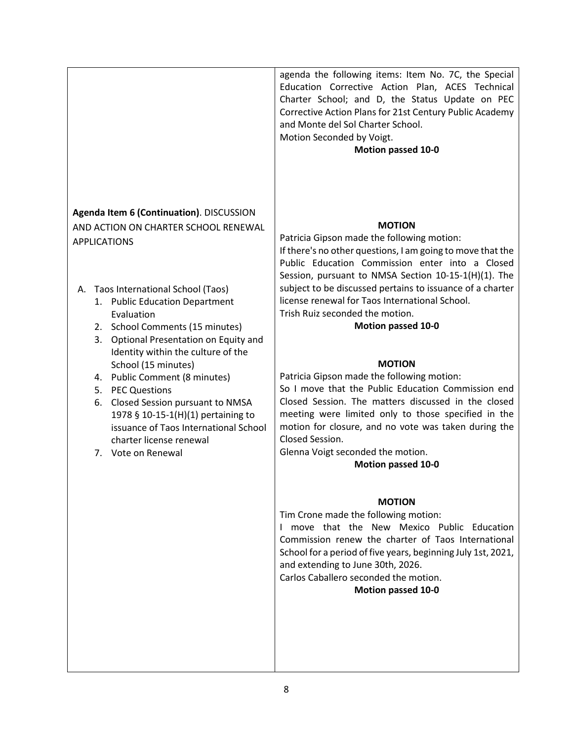|                                                                                                                                                                                                                                                                                                                                                                                                                                                                                                                                                                        | agenda the following items: Item No. 7C, the Special<br>Education Corrective Action Plan, ACES Technical<br>Charter School; and D, the Status Update on PEC<br>Corrective Action Plans for 21st Century Public Academy<br>and Monte del Sol Charter School.<br>Motion Seconded by Voigt.<br>Motion passed 10-0                                                                                                                                                                                                                                                                                                                                                                                                                                                                                                                                                                                                                                                                                                                                                                                                                               |
|------------------------------------------------------------------------------------------------------------------------------------------------------------------------------------------------------------------------------------------------------------------------------------------------------------------------------------------------------------------------------------------------------------------------------------------------------------------------------------------------------------------------------------------------------------------------|----------------------------------------------------------------------------------------------------------------------------------------------------------------------------------------------------------------------------------------------------------------------------------------------------------------------------------------------------------------------------------------------------------------------------------------------------------------------------------------------------------------------------------------------------------------------------------------------------------------------------------------------------------------------------------------------------------------------------------------------------------------------------------------------------------------------------------------------------------------------------------------------------------------------------------------------------------------------------------------------------------------------------------------------------------------------------------------------------------------------------------------------|
| Agenda Item 6 (Continuation). DISCUSSION<br>AND ACTION ON CHARTER SCHOOL RENEWAL<br><b>APPLICATIONS</b><br>A. Taos International School (Taos)<br>1. Public Education Department<br>Evaluation<br>2. School Comments (15 minutes)<br>3.<br>Optional Presentation on Equity and<br>Identity within the culture of the<br>School (15 minutes)<br>4. Public Comment (8 minutes)<br>5. PEC Questions<br>6. Closed Session pursuant to NMSA<br>1978 § 10-15-1(H)(1) pertaining to<br>issuance of Taos International School<br>charter license renewal<br>7. Vote on Renewal | <b>MOTION</b><br>Patricia Gipson made the following motion:<br>If there's no other questions, I am going to move that the<br>Public Education Commission enter into a Closed<br>Session, pursuant to NMSA Section 10-15-1(H)(1). The<br>subject to be discussed pertains to issuance of a charter<br>license renewal for Taos International School.<br>Trish Ruiz seconded the motion.<br><b>Motion passed 10-0</b><br><b>MOTION</b><br>Patricia Gipson made the following motion:<br>So I move that the Public Education Commission end<br>Closed Session. The matters discussed in the closed<br>meeting were limited only to those specified in the<br>motion for closure, and no vote was taken during the<br>Closed Session.<br>Glenna Voigt seconded the motion.<br><b>Motion passed 10-0</b><br><b>MOTION</b><br>Tim Crone made the following motion:<br>I move that the New Mexico Public Education<br>Commission renew the charter of Taos International<br>School for a period of five years, beginning July 1st, 2021,<br>and extending to June 30th, 2026.<br>Carlos Caballero seconded the motion.<br><b>Motion passed 10-0</b> |
|                                                                                                                                                                                                                                                                                                                                                                                                                                                                                                                                                                        |                                                                                                                                                                                                                                                                                                                                                                                                                                                                                                                                                                                                                                                                                                                                                                                                                                                                                                                                                                                                                                                                                                                                              |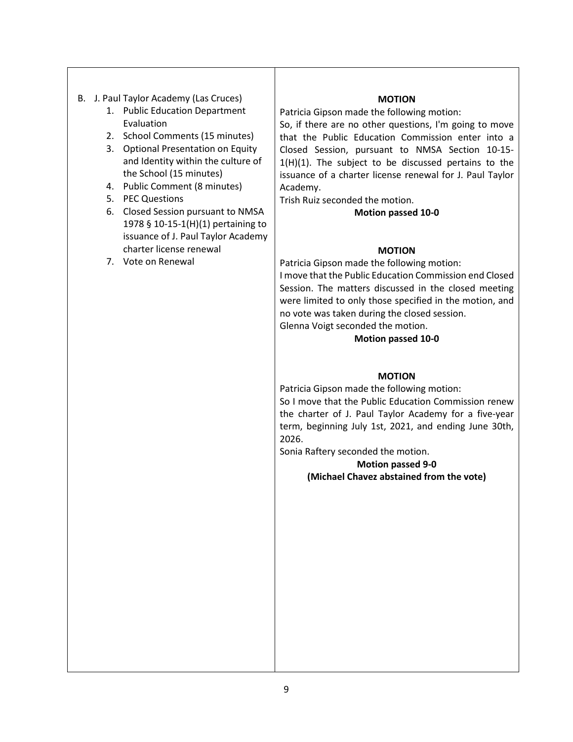- B. J. Paul Taylor Academy (Las Cruces)
	- 1. Public Education Department Evaluation
	- 2. School Comments (15 minutes)
	- 3. Optional Presentation on Equity and Identity within the culture of the School (15 minutes)
	- 4. Public Comment (8 minutes)
	- 5. PEC Questions
	- 6. Closed Session pursuant to NMSA 1978 § 10-15-1(H)(1) pertaining to issuance of J. Paul Taylor Academy charter license renewal
	- 7. Vote on Renewal

#### **MOTION**

Patricia Gipson made the following motion:

So, if there are no other questions, I'm going to move that the Public Education Commission enter into a Closed Session, pursuant to NMSA Section 10-15-  $1(H)(1)$ . The subject to be discussed pertains to the issuance of a charter license renewal for J. Paul Taylor Academy.

Trish Ruiz seconded the motion.

### **Motion passed 10-0**

### **MOTION**

Patricia Gipson made the following motion: I move that the Public Education Commission end Closed Session. The matters discussed in the closed meeting were limited to only those specified in the motion, and no vote was taken during the closed session. Glenna Voigt seconded the motion.

### **Motion passed 10-0**

# **MOTION**

Patricia Gipson made the following motion: So I move that the Public Education Commission renew the charter of J. Paul Taylor Academy for a five-year term, beginning July 1st, 2021, and ending June 30th, 2026.

Sonia Raftery seconded the motion.

**Motion passed 9-0 (Michael Chavez abstained from the vote)**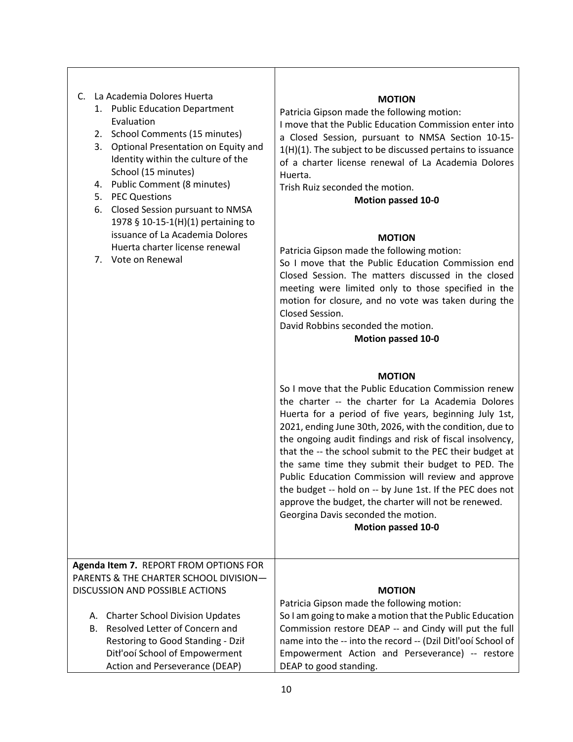| La Academia Dolores Huerta<br>C.<br>1. Public Education Department<br>Evaluation<br>2. School Comments (15 minutes)<br>3. Optional Presentation on Equity and<br>Identity within the culture of the<br>School (15 minutes)<br>Public Comment (8 minutes)<br>4.<br><b>PEC Questions</b><br>5.<br><b>Closed Session pursuant to NMSA</b><br>6.<br>1978 § 10-15-1(H)(1) pertaining to<br>issuance of La Academia Dolores<br>Huerta charter license renewal<br>7. Vote on Renewal | <b>MOTION</b><br>Patricia Gipson made the following motion:<br>I move that the Public Education Commission enter into<br>a Closed Session, pursuant to NMSA Section 10-15-<br>1(H)(1). The subject to be discussed pertains to issuance<br>of a charter license renewal of La Academia Dolores<br>Huerta.<br>Trish Ruiz seconded the motion.<br><b>Motion passed 10-0</b><br><b>MOTION</b><br>Patricia Gipson made the following motion:<br>So I move that the Public Education Commission end<br>Closed Session. The matters discussed in the closed<br>meeting were limited only to those specified in the<br>motion for closure, and no vote was taken during the<br>Closed Session.<br>David Robbins seconded the motion.<br><b>Motion passed 10-0</b><br><b>MOTION</b><br>So I move that the Public Education Commission renew<br>the charter -- the charter for La Academia Dolores<br>Huerta for a period of five years, beginning July 1st,<br>2021, ending June 30th, 2026, with the condition, due to<br>the ongoing audit findings and risk of fiscal insolvency,<br>that the -- the school submit to the PEC their budget at<br>the same time they submit their budget to PED. The<br>Public Education Commission will review and approve<br>the budget -- hold on -- by June 1st. If the PEC does not<br>approve the budget, the charter will not be renewed.<br>Georgina Davis seconded the motion.<br><b>Motion passed 10-0</b> |
|-------------------------------------------------------------------------------------------------------------------------------------------------------------------------------------------------------------------------------------------------------------------------------------------------------------------------------------------------------------------------------------------------------------------------------------------------------------------------------|------------------------------------------------------------------------------------------------------------------------------------------------------------------------------------------------------------------------------------------------------------------------------------------------------------------------------------------------------------------------------------------------------------------------------------------------------------------------------------------------------------------------------------------------------------------------------------------------------------------------------------------------------------------------------------------------------------------------------------------------------------------------------------------------------------------------------------------------------------------------------------------------------------------------------------------------------------------------------------------------------------------------------------------------------------------------------------------------------------------------------------------------------------------------------------------------------------------------------------------------------------------------------------------------------------------------------------------------------------------------------------------------------------------------------------------------|
| Agenda Item 7. REPORT FROM OPTIONS FOR<br>PARENTS & THE CHARTER SCHOOL DIVISION-<br><b>DISCUSSION AND POSSIBLE ACTIONS</b><br><b>Charter School Division Updates</b><br>А.<br>Resolved Letter of Concern and<br>В.<br>Restoring to Good Standing - Dził<br>Ditł'ooí School of Empowerment<br>Action and Perseverance (DEAP)                                                                                                                                                   | <b>MOTION</b><br>Patricia Gipson made the following motion:<br>So I am going to make a motion that the Public Education<br>Commission restore DEAP -- and Cindy will put the full<br>name into the -- into the record -- (Dzil Ditl'ooí School of<br>Empowerment Action and Perseverance) -- restore<br>DEAP to good standing.                                                                                                                                                                                                                                                                                                                                                                                                                                                                                                                                                                                                                                                                                                                                                                                                                                                                                                                                                                                                                                                                                                                 |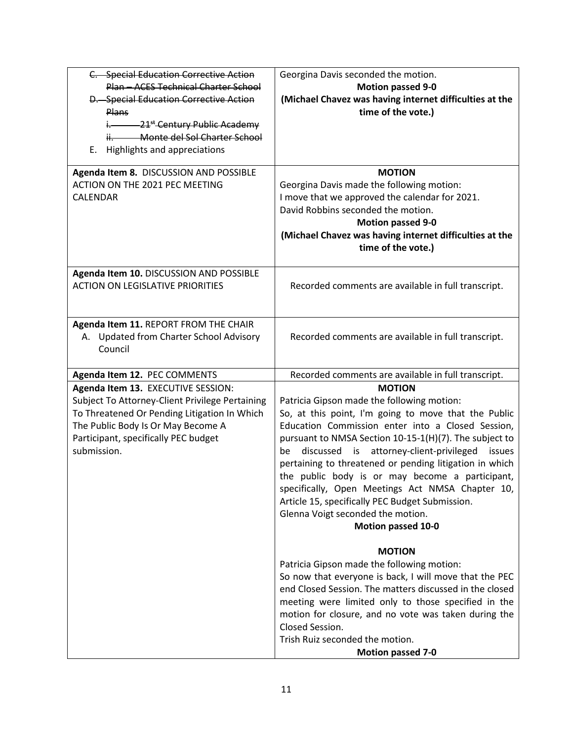| C. Special Education Corrective Action                             | Georgina Davis seconded the motion.                                                  |
|--------------------------------------------------------------------|--------------------------------------------------------------------------------------|
| Plan - ACES Technical Charter School                               | <b>Motion passed 9-0</b>                                                             |
| D. Special Education Corrective Action                             | (Michael Chavez was having internet difficulties at the                              |
| <b>Plans</b>                                                       | time of the vote.)                                                                   |
| $\frac{1}{2}$ 21 <sup>st</sup> Century Public Academy              |                                                                                      |
| ii. Monte del Sol Charter School                                   |                                                                                      |
| E. Highlights and appreciations                                    |                                                                                      |
| Agenda Item 8. DISCUSSION AND POSSIBLE                             | <b>MOTION</b>                                                                        |
| ACTION ON THE 2021 PEC MEETING                                     | Georgina Davis made the following motion:                                            |
| CALENDAR                                                           | I move that we approved the calendar for 2021.                                       |
|                                                                    | David Robbins seconded the motion.                                                   |
|                                                                    | <b>Motion passed 9-0</b>                                                             |
|                                                                    | (Michael Chavez was having internet difficulties at the                              |
|                                                                    | time of the vote.)                                                                   |
|                                                                    |                                                                                      |
| Agenda Item 10. DISCUSSION AND POSSIBLE                            |                                                                                      |
| <b>ACTION ON LEGISLATIVE PRIORITIES</b>                            | Recorded comments are available in full transcript.                                  |
|                                                                    |                                                                                      |
| Agenda Item 11. REPORT FROM THE CHAIR                              |                                                                                      |
| A. Updated from Charter School Advisory                            | Recorded comments are available in full transcript.                                  |
| Council                                                            |                                                                                      |
|                                                                    | Recorded comments are available in full transcript.                                  |
| Agenda Item 12. PEC COMMENTS<br>Agenda Item 13. EXECUTIVE SESSION: | <b>MOTION</b>                                                                        |
| Subject To Attorney-Client Privilege Pertaining                    | Patricia Gipson made the following motion:                                           |
| To Threatened Or Pending Litigation In Which                       | So, at this point, I'm going to move that the Public                                 |
| The Public Body Is Or May Become A                                 | Education Commission enter into a Closed Session,                                    |
| Participant, specifically PEC budget                               | pursuant to NMSA Section 10-15-1(H)(7). The subject to                               |
| submission.                                                        | discussed is attorney-client-privileged<br>issues<br>be                              |
|                                                                    | pertaining to threatened or pending litigation in which                              |
|                                                                    | the public body is or may become a participant,                                      |
|                                                                    | specifically, Open Meetings Act NMSA Chapter 10,                                     |
|                                                                    |                                                                                      |
|                                                                    | Article 15, specifically PEC Budget Submission.<br>Glenna Voigt seconded the motion. |
|                                                                    | <b>Motion passed 10-0</b>                                                            |
|                                                                    |                                                                                      |
|                                                                    | <b>MOTION</b>                                                                        |
|                                                                    | Patricia Gipson made the following motion:                                           |
|                                                                    | So now that everyone is back, I will move that the PEC                               |
|                                                                    | end Closed Session. The matters discussed in the closed                              |
|                                                                    | meeting were limited only to those specified in the                                  |
|                                                                    | motion for closure, and no vote was taken during the                                 |
|                                                                    |                                                                                      |
|                                                                    | Closed Session.                                                                      |
|                                                                    | Trish Ruiz seconded the motion.<br><b>Motion passed 7-0</b>                          |